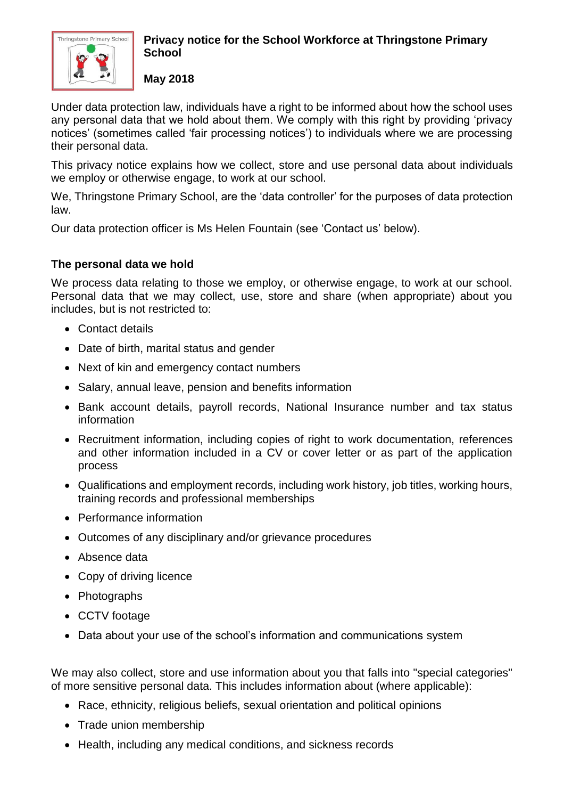

## **Privacy notice for the School Workforce at Thringstone Primary School**

**May 2018**

Under data protection law, individuals have a right to be informed about how the school uses any personal data that we hold about them. We comply with this right by providing 'privacy notices' (sometimes called 'fair processing notices') to individuals where we are processing their personal data.

This privacy notice explains how we collect, store and use personal data about individuals we employ or otherwise engage, to work at our school.

We, Thringstone Primary School, are the 'data controller' for the purposes of data protection law.

Our data protection officer is Ms Helen Fountain (see 'Contact us' below).

# **The personal data we hold**

We process data relating to those we employ, or otherwise engage, to work at our school. Personal data that we may collect, use, store and share (when appropriate) about you includes, but is not restricted to:

- Contact details
- Date of birth, marital status and gender
- Next of kin and emergency contact numbers
- Salary, annual leave, pension and benefits information
- Bank account details, payroll records, National Insurance number and tax status information
- Recruitment information, including copies of right to work documentation, references and other information included in a CV or cover letter or as part of the application process
- Qualifications and employment records, including work history, job titles, working hours, training records and professional memberships
- Performance information
- Outcomes of any disciplinary and/or grievance procedures
- Absence data
- Copy of driving licence
- Photographs
- CCTV footage
- Data about your use of the school's information and communications system

We may also collect, store and use information about you that falls into "special categories" of more sensitive personal data. This includes information about (where applicable):

- Race, ethnicity, religious beliefs, sexual orientation and political opinions
- Trade union membership
- Health, including any medical conditions, and sickness records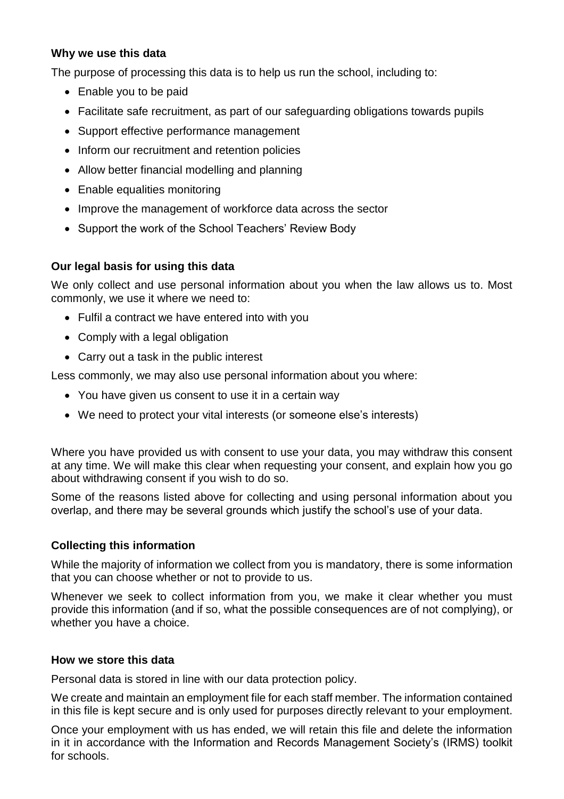#### **Why we use this data**

The purpose of processing this data is to help us run the school, including to:

- Enable you to be paid
- Facilitate safe recruitment, as part of our safeguarding obligations towards pupils
- Support effective performance management
- Inform our recruitment and retention policies
- Allow better financial modelling and planning
- Enable equalities monitoring
- Improve the management of workforce data across the sector
- Support the work of the School Teachers' Review Body

## **Our legal basis for using this data**

We only collect and use personal information about you when the law allows us to. Most commonly, we use it where we need to:

- Fulfil a contract we have entered into with you
- Comply with a legal obligation
- Carry out a task in the public interest

Less commonly, we may also use personal information about you where:

- You have given us consent to use it in a certain way
- We need to protect your vital interests (or someone else's interests)

Where you have provided us with consent to use your data, you may withdraw this consent at any time. We will make this clear when requesting your consent, and explain how you go about withdrawing consent if you wish to do so.

Some of the reasons listed above for collecting and using personal information about you overlap, and there may be several grounds which justify the school's use of your data.

## **Collecting this information**

While the majority of information we collect from you is mandatory, there is some information that you can choose whether or not to provide to us.

Whenever we seek to collect information from you, we make it clear whether you must provide this information (and if so, what the possible consequences are of not complying), or whether you have a choice.

## **How we store this data**

Personal data is stored in line with our data protection policy.

We create and maintain an employment file for each staff member. The information contained in this file is kept secure and is only used for purposes directly relevant to your employment.

Once your employment with us has ended, we will retain this file and delete the information in it in accordance with the Information and Records Management Society's (IRMS) toolkit for schools.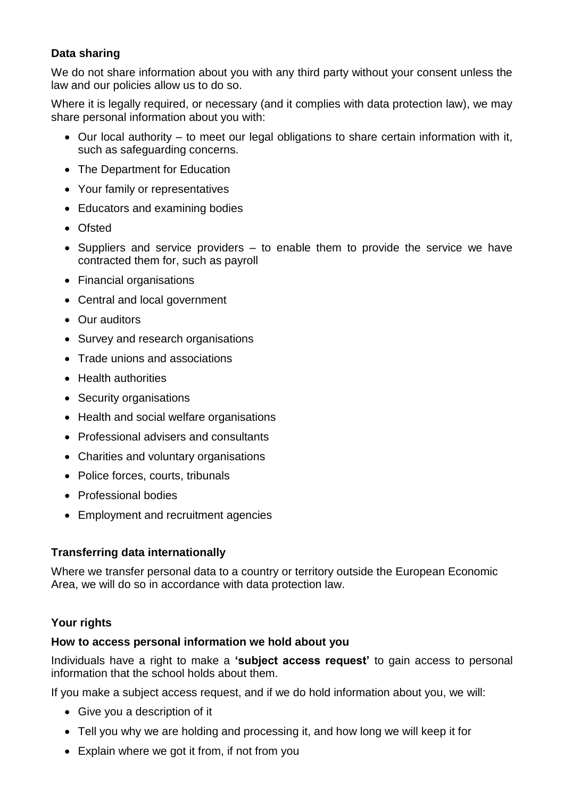# **Data sharing**

We do not share information about you with any third party without your consent unless the law and our policies allow us to do so.

Where it is legally required, or necessary (and it complies with data protection law), we may share personal information about you with:

- Our local authority to meet our legal obligations to share certain information with it, such as safeguarding concerns.
- The Department for Education
- Your family or representatives
- Educators and examining bodies
- Ofsted
- Suppliers and service providers to enable them to provide the service we have contracted them for, such as payroll
- Financial organisations
- Central and local government
- Our auditors
- Survey and research organisations
- Trade unions and associations
- Health authorities
- Security organisations
- Health and social welfare organisations
- Professional advisers and consultants
- Charities and voluntary organisations
- Police forces, courts, tribunals
- Professional bodies
- Employment and recruitment agencies

## **Transferring data internationally**

Where we transfer personal data to a country or territory outside the European Economic Area, we will do so in accordance with data protection law.

## **Your rights**

#### **How to access personal information we hold about you**

Individuals have a right to make a **'subject access request'** to gain access to personal information that the school holds about them.

If you make a subject access request, and if we do hold information about you, we will:

- Give you a description of it
- Tell you why we are holding and processing it, and how long we will keep it for
- Explain where we got it from, if not from you